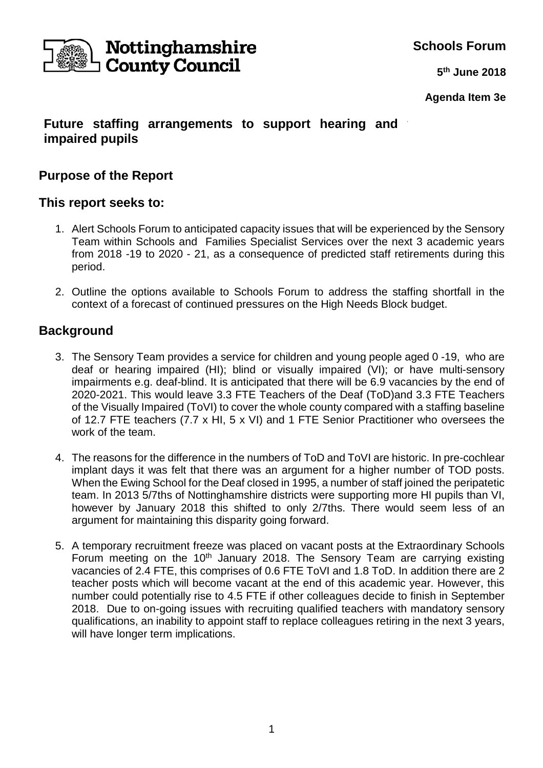

**Schools Forum**

**5 th June 2018**

**Agenda Item 3e**

### **Future staffing arrangements to support hearing and impaired pupils**

## **Purpose of the Report**

### **This report seeks to:**

- 1. Alert Schools Forum to anticipated capacity issues that will be experienced by the Sensory Team within Schools and Families Specialist Services over the next 3 academic years from 2018 -19 to 2020 - 21, as a consequence of predicted staff retirements during this period.
- 2. Outline the options available to Schools Forum to address the staffing shortfall in the context of a forecast of continued pressures on the High Needs Block budget.

## **Background**

- 3. The Sensory Team provides a service for children and young people aged 0 -19, who are deaf or hearing impaired (HI); blind or visually impaired (VI); or have multi-sensory impairments e.g. deaf-blind. It is anticipated that there will be 6.9 vacancies by the end of 2020-2021. This would leave 3.3 FTE Teachers of the Deaf (ToD)and 3.3 FTE Teachers of the Visually Impaired (ToVI) to cover the whole county compared with a staffing baseline of 12.7 FTE teachers (7.7 x HI, 5 x VI) and 1 FTE Senior Practitioner who oversees the work of the team.
- 4. The reasons for the difference in the numbers of ToD and ToVI are historic. In pre-cochlear implant days it was felt that there was an argument for a higher number of TOD posts. When the Ewing School for the Deaf closed in 1995, a number of staff joined the peripatetic team. In 2013 5/7ths of Nottinghamshire districts were supporting more HI pupils than VI, however by January 2018 this shifted to only 2/7ths. There would seem less of an argument for maintaining this disparity going forward.
- 5. A temporary recruitment freeze was placed on vacant posts at the Extraordinary Schools Forum meeting on the  $10<sup>th</sup>$  January 2018. The Sensory Team are carrying existing vacancies of 2.4 FTE, this comprises of 0.6 FTE ToVI and 1.8 ToD. In addition there are 2 teacher posts which will become vacant at the end of this academic year. However, this number could potentially rise to 4.5 FTE if other colleagues decide to finish in September 2018. Due to on-going issues with recruiting qualified teachers with mandatory sensory qualifications, an inability to appoint staff to replace colleagues retiring in the next 3 years, will have longer term implications.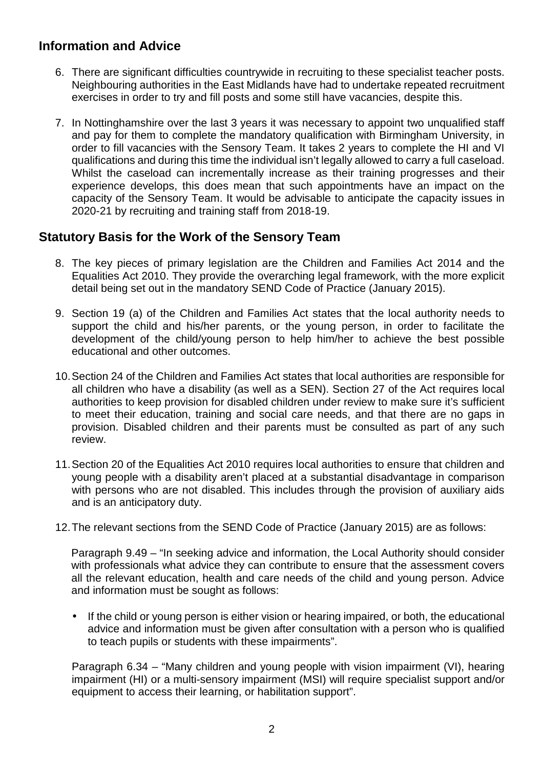# **Information and Advice**

- 6. There are significant difficulties countrywide in recruiting to these specialist teacher posts. Neighbouring authorities in the East Midlands have had to undertake repeated recruitment exercises in order to try and fill posts and some still have vacancies, despite this.
- 7. In Nottinghamshire over the last 3 years it was necessary to appoint two unqualified staff and pay for them to complete the mandatory qualification with Birmingham University, in order to fill vacancies with the Sensory Team. It takes 2 years to complete the HI and VI qualifications and during this time the individual isn't legally allowed to carry a full caseload. Whilst the caseload can incrementally increase as their training progresses and their experience develops, this does mean that such appointments have an impact on the capacity of the Sensory Team. It would be advisable to anticipate the capacity issues in 2020-21 by recruiting and training staff from 2018-19.

## **Statutory Basis for the Work of the Sensory Team**

- 8. The key pieces of primary legislation are the Children and Families Act 2014 and the Equalities Act 2010. They provide the overarching legal framework, with the more explicit detail being set out in the mandatory SEND Code of Practice (January 2015).
- 9. Section 19 (a) of the Children and Families Act states that the local authority needs to support the child and his/her parents, or the young person, in order to facilitate the development of the child/young person to help him/her to achieve the best possible educational and other outcomes.
- 10. Section 24 of the Children and Families Act states that local authorities are responsible for all children who have a disability (as well as a SEN). Section 27 of the Act requires local authorities to keep provision for disabled children under review to make sure it's sufficient to meet their education, training and social care needs, and that there are no gaps in provision. Disabled children and their parents must be consulted as part of any such review.
- 11. Section 20 of the Equalities Act 2010 requires local authorities to ensure that children and young people with a disability aren't placed at a substantial disadvantage in comparison with persons who are not disabled. This includes through the provision of auxiliary aids and is an anticipatory duty.
- 12. The relevant sections from the SEND Code of Practice (January 2015) are as follows:

Paragraph 9.49 – "In seeking advice and information, the Local Authority should consider with professionals what advice they can contribute to ensure that the assessment covers all the relevant education, health and care needs of the child and young person. Advice and information must be sought as follows:

• If the child or young person is either vision or hearing impaired, or both, the educational advice and information must be given after consultation with a person who is qualified to teach pupils or students with these impairments".

Paragraph 6.34 – "Many children and young people with vision impairment (VI), hearing impairment (HI) or a multi-sensory impairment (MSI) will require specialist support and/or equipment to access their learning, or habilitation support".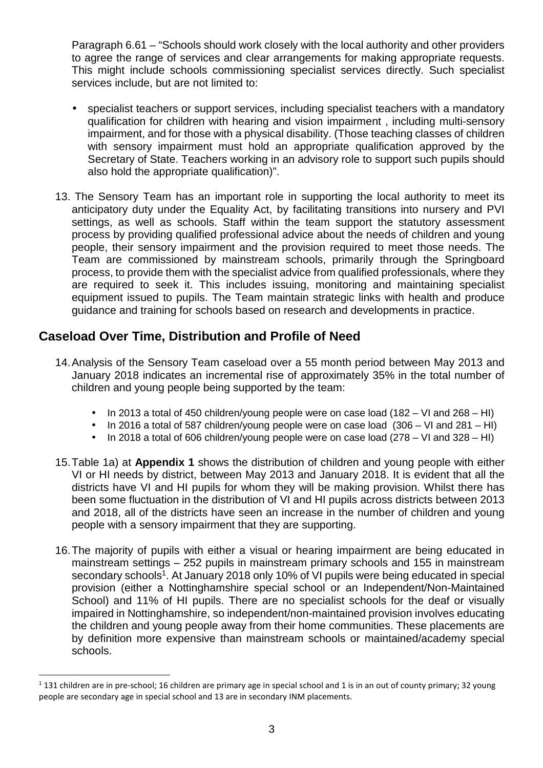Paragraph 6.61 – "Schools should work closely with the local authority and other providers to agree the range of services and clear arrangements for making appropriate requests. This might include schools commissioning specialist services directly. Such specialist services include, but are not limited to:

- specialist teachers or support services, including specialist teachers with a mandatory qualification for children with hearing and vision impairment , including multi-sensory impairment, and for those with a physical disability. (Those teaching classes of children with sensory impairment must hold an appropriate qualification approved by the Secretary of State. Teachers working in an advisory role to support such pupils should also hold the appropriate qualification)".
- 13. The Sensory Team has an important role in supporting the local authority to meet its anticipatory duty under the Equality Act, by facilitating transitions into nursery and PVI settings, as well as schools. Staff within the team support the statutory assessment process by providing qualified professional advice about the needs of children and young people, their sensory impairment and the provision required to meet those needs. The Team are commissioned by mainstream schools, primarily through the Springboard process, to provide them with the specialist advice from qualified professionals, where they are required to seek it. This includes issuing, monitoring and maintaining specialist equipment issued to pupils. The Team maintain strategic links with health and produce guidance and training for schools based on research and developments in practice.

# **Caseload Over Time, Distribution and Profile of Need**

l

- 14. Analysis of the Sensory Team caseload over a 55 month period between May 2013 and January 2018 indicates an incremental rise of approximately 35% in the total number of children and young people being supported by the team:
	- In 2013 a total of 450 children/young people were on case load (182 VI and 268 HI)
	- In 2016 a total of 587 children/young people were on case load (306 VI and 281 HI)
	- In 2018 a total of 606 children/young people were on case load  $(278 VI)$  and  $328 HI$ )
- 15. Table 1a) at **Appendix 1** shows the distribution of children and young people with either VI or HI needs by district, between May 2013 and January 2018. It is evident that all the districts have VI and HI pupils for whom they will be making provision. Whilst there has been some fluctuation in the distribution of VI and HI pupils across districts between 2013 and 2018, all of the districts have seen an increase in the number of children and young people with a sensory impairment that they are supporting.
- 16. The majority of pupils with either a visual or hearing impairment are being educated in mainstream settings – 252 pupils in mainstream primary schools and 155 in mainstream secondary schools<sup>1</sup>. At January 2018 only 10% of VI pupils were being educated in special provision (either a Nottinghamshire special school or an Independent/Non-Maintained School) and 11% of HI pupils. There are no specialist schools for the deaf or visually impaired in Nottinghamshire, so independent/non-maintained provision involves educating the children and young people away from their home communities. These placements are by definition more expensive than mainstream schools or maintained/academy special schools.

 $1$  131 children are in pre-school; 16 children are primary age in special school and 1 is in an out of county primary; 32 young people are secondary age in special school and 13 are in secondary INM placements.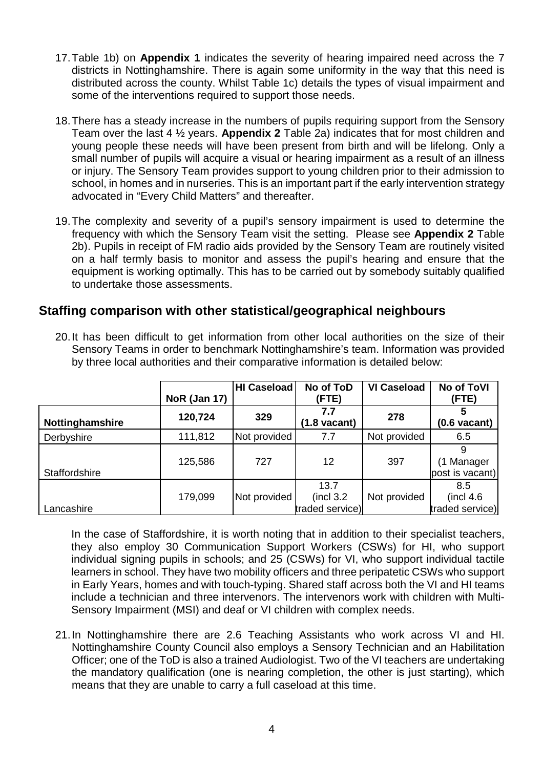- 17. Table 1b) on **Appendix 1** indicates the severity of hearing impaired need across the 7 districts in Nottinghamshire. There is again some uniformity in the way that this need is distributed across the county. Whilst Table 1c) details the types of visual impairment and some of the interventions required to support those needs.
- 18. There has a steady increase in the numbers of pupils requiring support from the Sensory Team over the last 4 ½ years. **Appendix 2** Table 2a) indicates that for most children and young people these needs will have been present from birth and will be lifelong. Only a small number of pupils will acquire a visual or hearing impairment as a result of an illness or injury. The Sensory Team provides support to young children prior to their admission to school, in homes and in nurseries. This is an important part if the early intervention strategy advocated in "Every Child Matters" and thereafter.
- 19. The complexity and severity of a pupil's sensory impairment is used to determine the frequency with which the Sensory Team visit the setting. Please see **Appendix 2** Table 2b). Pupils in receipt of FM radio aids provided by the Sensory Team are routinely visited on a half termly basis to monitor and assess the pupil's hearing and ensure that the equipment is working optimally. This has to be carried out by somebody suitably qualified to undertake those assessments.

### **Staffing comparison with other statistical/geographical neighbours**

|                 | <b>NoR (Jan 17)</b> | <b>HI Caseload</b> | No of ToD<br>(FTE)                         | <b>VI Caseload</b> | No of ToVI<br>(FTE)                  |
|-----------------|---------------------|--------------------|--------------------------------------------|--------------------|--------------------------------------|
| Nottinghamshire | 120,724             | 329                | 7.7<br>$(1.8 \text{ vacant})$              | 278                | $(0.6 \text{ vacant})$               |
| Derbyshire      | 111,812             | Not provided       | 7.7                                        | Not provided       | 6.5                                  |
| Staffordshire   | 125,586             | 727                | 12                                         | 397                | (1 Manager<br>post is vacant)        |
| Lancashire      | 179,099             | Not provided       | 13.7<br>$($ incl $3.2)$<br>traded service) | Not provided       | 8.5<br>(incl 4.6)<br>traded service) |

20. It has been difficult to get information from other local authorities on the size of their Sensory Teams in order to benchmark Nottinghamshire's team. Information was provided by three local authorities and their comparative information is detailed below:

In the case of Staffordshire, it is worth noting that in addition to their specialist teachers, they also employ 30 Communication Support Workers (CSWs) for HI, who support individual signing pupils in schools; and 25 (CSWs) for VI, who support individual tactile learners in school. They have two mobility officers and three peripatetic CSWs who support in Early Years, homes and with touch-typing. Shared staff across both the VI and HI teams include a technician and three intervenors. The intervenors work with children with Multi-Sensory Impairment (MSI) and deaf or VI children with complex needs.

21. In Nottinghamshire there are 2.6 Teaching Assistants who work across VI and HI. Nottinghamshire County Council also employs a Sensory Technician and an Habilitation Officer; one of the ToD is also a trained Audiologist. Two of the VI teachers are undertaking the mandatory qualification (one is nearing completion, the other is just starting), which means that they are unable to carry a full caseload at this time.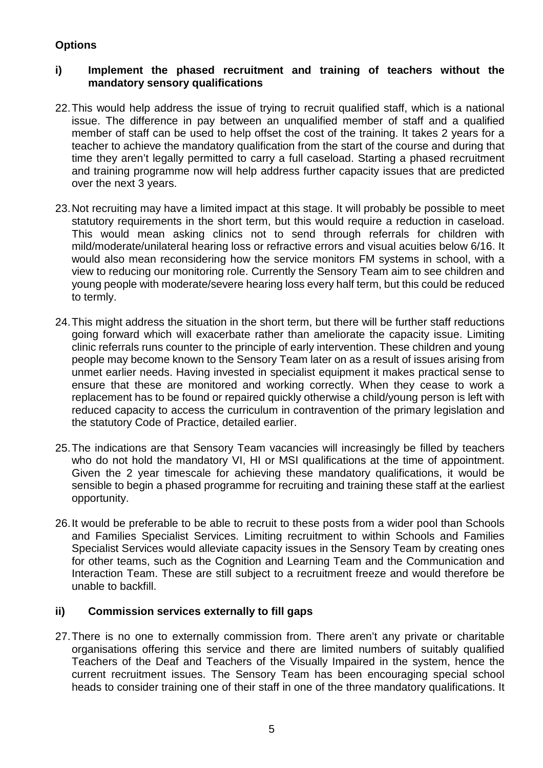### **Options**

#### **i) Implement the phased recruitment and training of teachers without the mandatory sensory qualifications**

- 22. This would help address the issue of trying to recruit qualified staff, which is a national issue. The difference in pay between an unqualified member of staff and a qualified member of staff can be used to help offset the cost of the training. It takes 2 years for a teacher to achieve the mandatory qualification from the start of the course and during that time they aren't legally permitted to carry a full caseload. Starting a phased recruitment and training programme now will help address further capacity issues that are predicted over the next 3 years.
- 23. Not recruiting may have a limited impact at this stage. It will probably be possible to meet statutory requirements in the short term, but this would require a reduction in caseload. This would mean asking clinics not to send through referrals for children with mild/moderate/unilateral hearing loss or refractive errors and visual acuities below 6/16. It would also mean reconsidering how the service monitors FM systems in school, with a view to reducing our monitoring role. Currently the Sensory Team aim to see children and young people with moderate/severe hearing loss every half term, but this could be reduced to termly.
- 24. This might address the situation in the short term, but there will be further staff reductions going forward which will exacerbate rather than ameliorate the capacity issue. Limiting clinic referrals runs counter to the principle of early intervention. These children and young people may become known to the Sensory Team later on as a result of issues arising from unmet earlier needs. Having invested in specialist equipment it makes practical sense to ensure that these are monitored and working correctly. When they cease to work a replacement has to be found or repaired quickly otherwise a child/young person is left with reduced capacity to access the curriculum in contravention of the primary legislation and the statutory Code of Practice, detailed earlier.
- 25. The indications are that Sensory Team vacancies will increasingly be filled by teachers who do not hold the mandatory VI, HI or MSI qualifications at the time of appointment. Given the 2 year timescale for achieving these mandatory qualifications, it would be sensible to begin a phased programme for recruiting and training these staff at the earliest opportunity.
- 26. It would be preferable to be able to recruit to these posts from a wider pool than Schools and Families Specialist Services. Limiting recruitment to within Schools and Families Specialist Services would alleviate capacity issues in the Sensory Team by creating ones for other teams, such as the Cognition and Learning Team and the Communication and Interaction Team. These are still subject to a recruitment freeze and would therefore be unable to backfill.

#### **ii) Commission services externally to fill gaps**

27. There is no one to externally commission from. There aren't any private or charitable organisations offering this service and there are limited numbers of suitably qualified Teachers of the Deaf and Teachers of the Visually Impaired in the system, hence the current recruitment issues. The Sensory Team has been encouraging special school heads to consider training one of their staff in one of the three mandatory qualifications. It